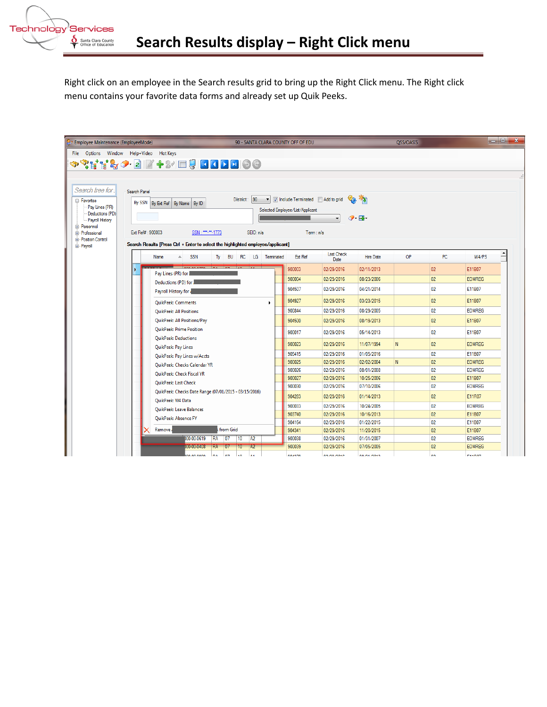

Right click on an employee in the Search results grid to bring up the Right Click menu. The Right click menu contains your favorite data forms and already set up Quik Peeks.

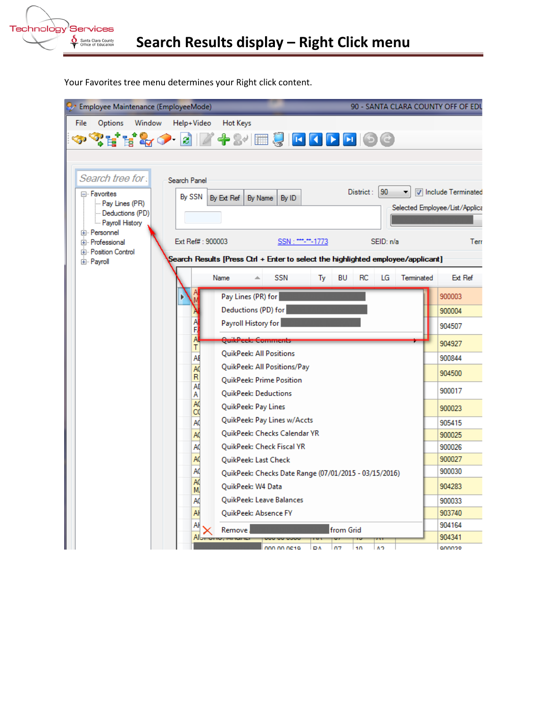

Your Favorites tree menu determines your Right click content.

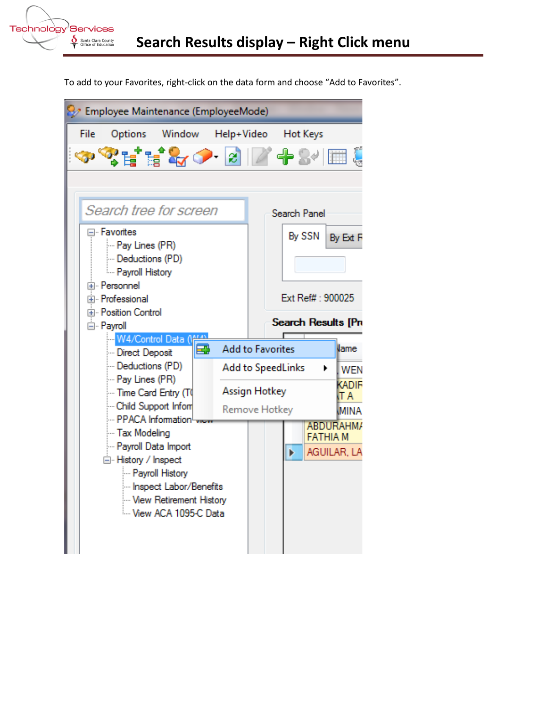

To add to your Favorites, right-click on the data form and choose "Add to Favorites".

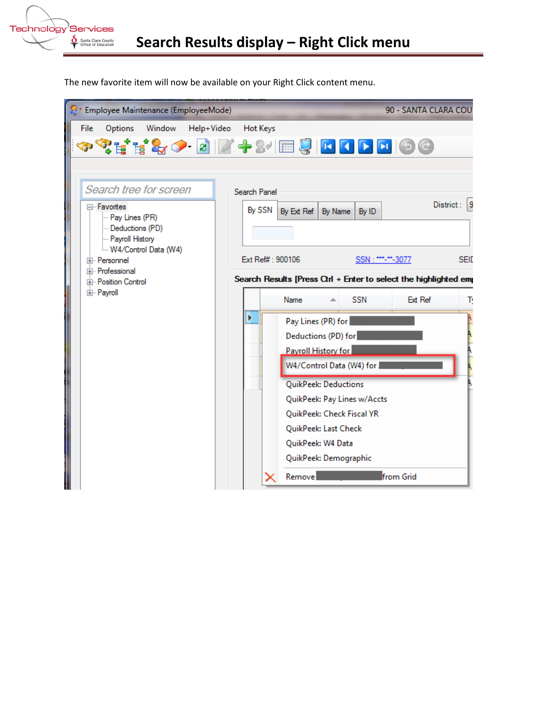

The new favorite item will now be available on your Right Click content menu.

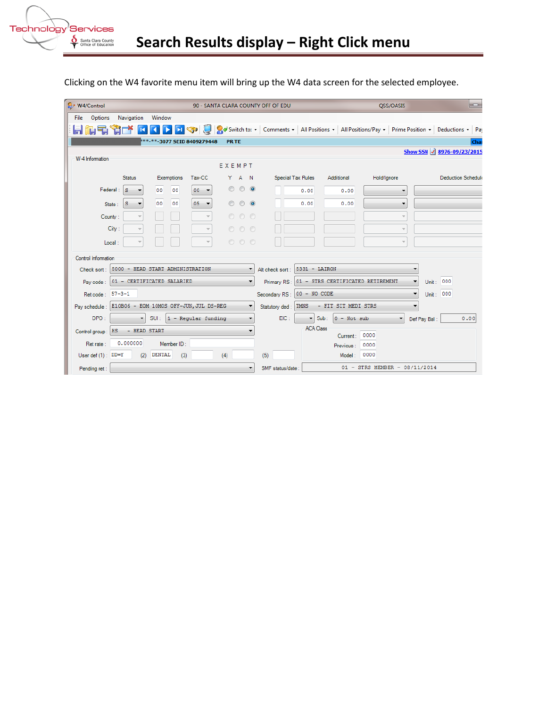

| & W4/Control                                 |                                                      |                                              |               |            |                                |                | 90 - SANTA CLARA COUNTY OFF OF EDU |                 | $\Box$<br>OSS/OASIS      |                                                                                               |                               |                      |                            |                           |      |
|----------------------------------------------|------------------------------------------------------|----------------------------------------------|---------------|------------|--------------------------------|----------------|------------------------------------|-----------------|--------------------------|-----------------------------------------------------------------------------------------------|-------------------------------|----------------------|----------------------------|---------------------------|------|
| File                                         | <b>Options</b>                                       | Navigation                                   | Window        |            |                                |                |                                    |                 |                          |                                                                                               |                               |                      |                            |                           |      |
|                                              |                                                      |                                              |               |            | <b>EXECUTE</b>                 |                |                                    |                 |                          | Switch to: • Comments • All Positions • All Positions/Pay • Prime Position • Deductions • Pay |                               |                      |                            |                           |      |
|                                              |                                                      |                                              |               |            | ***-**-3077 SEID 8409279448    | <b>PR TE</b>   |                                    |                 |                          |                                                                                               |                               |                      |                            |                           | Cha  |
|                                              |                                                      |                                              |               |            |                                |                |                                    |                 |                          |                                                                                               |                               |                      | Show SSN 3 8976-09/23/2015 |                           |      |
| W-4 Information<br>EXEMPT                    |                                                      |                                              |               |            |                                |                |                                    |                 |                          |                                                                                               |                               |                      |                            |                           |      |
|                                              |                                                      | <b>Status</b>                                | Exemptions    |            | Tax-CC                         |                | Y A N                              |                 | Special Tax Rules        | Additional                                                                                    | Hold/Ignore                   |                      |                            | <b>Deduction Schedule</b> |      |
|                                              | Federal:                                             | S                                            | 00            | 00         | $00 - 7$                       | $\circledcirc$ | $\circ$ $\circ$                    |                 | 0.00                     | 0.00                                                                                          |                               | $\blacktriangledown$ |                            |                           |      |
|                                              | State:                                               | S                                            | 00            | 00         | 05<br>$\overline{\phantom{a}}$ | $\odot$        | $\odot$                            | $\circ$         | 0.00                     | 0.00                                                                                          |                               | $\blacktriangledown$ |                            |                           |      |
|                                              | County:                                              |                                              |               |            |                                | $\odot$        | 00                                 |                 |                          |                                                                                               |                               | $\bar{\rm w}$        |                            |                           |      |
|                                              | City:<br>000                                         |                                              |               |            |                                |                |                                    |                 |                          | $\bar{\psi}$                                                                                  |                               |                      |                            |                           |      |
|                                              |                                                      |                                              |               |            |                                |                |                                    |                 |                          |                                                                                               |                               |                      |                            |                           |      |
|                                              | Local:                                               |                                              |               |            |                                |                | 000                                |                 |                          |                                                                                               |                               | $\overline{\psi}$    |                            |                           |      |
| Control Information                          |                                                      |                                              |               |            |                                |                |                                    |                 |                          |                                                                                               |                               |                      |                            |                           |      |
|                                              |                                                      | Check sort: 5000 - HEAD START ADMINISTRATION |               |            |                                |                |                                    | Alt check sort: | 5331 - LAIRON            |                                                                                               |                               | ۰                    |                            |                           |      |
| 01 - CERTIFICATED SALARIED<br>Pav code:<br>۰ |                                                      |                                              |               |            | Primary RS:                    |                | 01 - STRS CERTIFICATED RETIREMENT  |                 | $\overline{\phantom{a}}$ | Unit: 000                                                                                     |                               |                      |                            |                           |      |
| Ret code: 57-3-1                             |                                                      |                                              |               |            |                                | Secondary RS:  | 00 - NO CODE                       |                 |                          | $\blacktriangledown$                                                                          | Unit: 000                     |                      |                            |                           |      |
|                                              | Pay schedule: E10B06 - EOM 10MOS OFF-JUN, JUL DS-REG |                                              |               |            |                                |                | Statutory ded:                     | <b>TMNS</b>     | - FIT SIT MEDI STRS      |                                                                                               | $\overline{\phantom{a}}$      |                      |                            |                           |      |
|                                              | DPO:                                                 | $\blacktriangledown$                         |               |            | $SUI:$  1 - Regular funding    |                |                                    | EIC:            | $\blacksquare$           | Sub:<br>$0 - Not sub$                                                                         |                               |                      | Def Pay Bal:               |                           | 0.00 |
| Control group:   HS                          |                                                      | - HEAD START                                 |               |            |                                |                |                                    |                 | <b>ACA Class</b>         |                                                                                               | 0000                          |                      |                            |                           |      |
| Ret rate:                                    |                                                      | 0.000000                                     |               | Member ID: |                                |                |                                    |                 |                          | Current:<br>Previous:                                                                         | 0000                          |                      |                            |                           |      |
|                                              | User def $(1)$ : $DD=Y$                              | (2)                                          | <b>DENTAL</b> | (3)        |                                | (4)            |                                    | (5)             |                          | Model:                                                                                        | 0000                          |                      |                            |                           |      |
| Pending ret:                                 |                                                      |                                              |               |            |                                |                |                                    | SMF status/date |                          |                                                                                               | 01 - STRS MEMBER - 08/11/2014 |                      |                            |                           |      |

Clicking on the W4 favorite menu item will bring up the W4 data screen for the selected employee.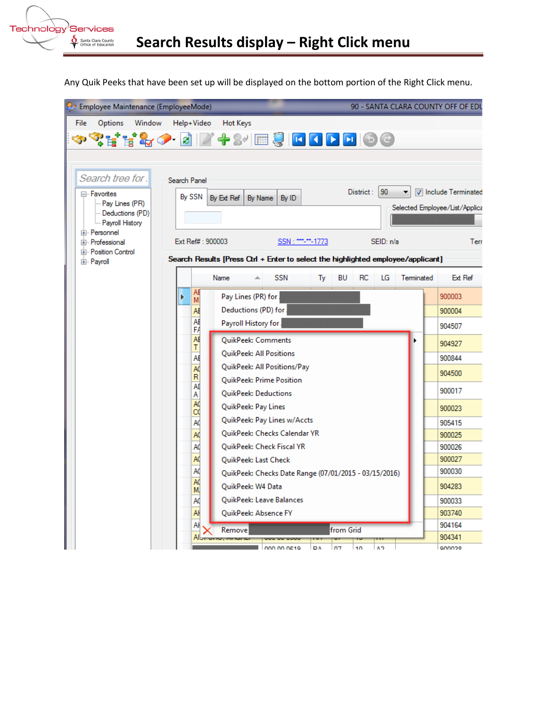

Any Quik Peeks that have been set up will be displayed on the bottom portion of the Right Click menu.

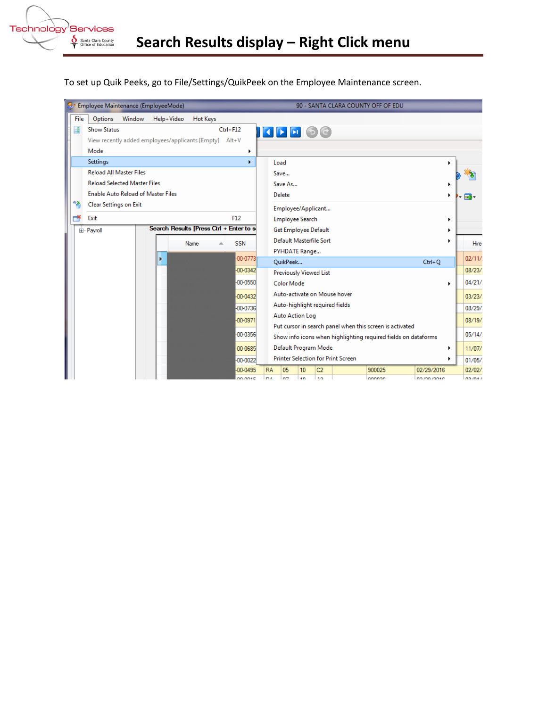

To set up Quik Peeks, go to File/Settings/QuikPeek on the Employee Maintenance screen.

|  |                                                       |                                           |        | Employee Maintenance (EmployeeMode)                    |                 |                     |                             |                                                                                                                                                    |                       |                                |                              | 90 - SANTA CLARA COUNTY OFF OF EDU                       |                           |    |                 |  |  |
|--|-------------------------------------------------------|-------------------------------------------|--------|--------------------------------------------------------|-----------------|---------------------|-----------------------------|----------------------------------------------------------------------------------------------------------------------------------------------------|-----------------------|--------------------------------|------------------------------|----------------------------------------------------------|---------------------------|----|-----------------|--|--|
|  | File                                                  | Options                                   | Window | Help+Video                                             | <b>Hot Keys</b> |                     |                             |                                                                                                                                                    |                       |                                |                              |                                                          |                           |    |                 |  |  |
|  | E                                                     | <b>Show Status</b>                        |        |                                                        |                 | $Ctrl + F12$        |                             | $\left\vert \left\vert \mathbf{G}\right\vert \mathbf{F}\right\vert$ $\left\vert \mathbf{F}\right\vert \left\vert \mathbf{G}\right\vert \mathbf{G}$ |                       |                                |                              |                                                          |                           |    |                 |  |  |
|  |                                                       |                                           |        | View recently added employees/applicants [Empty] Alt+V |                 |                     |                             |                                                                                                                                                    |                       |                                |                              |                                                          |                           |    |                 |  |  |
|  |                                                       | Mode                                      |        |                                                        |                 | ١                   |                             |                                                                                                                                                    |                       |                                |                              |                                                          |                           |    |                 |  |  |
|  |                                                       | Settings                                  |        |                                                        |                 | ×.                  |                             | Load                                                                                                                                               |                       |                                |                              |                                                          |                           |    |                 |  |  |
|  |                                                       | <b>Reload All Master Files</b>            | Save   |                                                        |                 |                     |                             |                                                                                                                                                    |                       |                                |                              |                                                          |                           |    |                 |  |  |
|  |                                                       | <b>Reload Selected Master Files</b>       |        |                                                        |                 |                     |                             | Save As                                                                                                                                            |                       |                                |                              |                                                          |                           |    |                 |  |  |
|  |                                                       | <b>Enable Auto Reload of Master Files</b> |        |                                                        |                 |                     |                             | Delete                                                                                                                                             |                       | ٠                              |                              |                                                          |                           |    |                 |  |  |
|  | 6D.                                                   | Clear Settings on Exit                    |        |                                                        |                 |                     |                             | Employee/Applicant                                                                                                                                 |                       |                                |                              |                                                          |                           |    |                 |  |  |
|  |                                                       | Exit                                      |        |                                                        |                 | F12                 |                             | <b>Employee Search</b>                                                                                                                             |                       |                                |                              |                                                          |                           | ٠  |                 |  |  |
|  | Search Results [Press Ctrl + Enter to se<br>由 Payroll |                                           |        |                                                        |                 |                     | Get Employee Default        |                                                                                                                                                    |                       |                                |                              |                                                          |                           |    |                 |  |  |
|  |                                                       |                                           |        |                                                        | Name            | <b>SSN</b>          |                             | Default Masterfile Sort                                                                                                                            |                       |                                |                              |                                                          |                           | ٠  | Hire            |  |  |
|  |                                                       |                                           |        |                                                        |                 |                     |                             | PYHDATE Range                                                                                                                                      |                       |                                |                              |                                                          |                           |    |                 |  |  |
|  |                                                       |                                           |        | Þ                                                      |                 | -00-0773            |                             | QuikPeek                                                                                                                                           |                       |                                |                              |                                                          | $Ctrl + Q$                |    | 02/11/          |  |  |
|  |                                                       |                                           |        |                                                        |                 | -00-0342            |                             | <b>Previously Viewed List</b>                                                                                                                      |                       |                                |                              |                                                          |                           |    | 08/23/          |  |  |
|  |                                                       |                                           |        |                                                        |                 | -00-0550            |                             | <b>Color Mode</b>                                                                                                                                  |                       |                                |                              |                                                          |                           | ь  | 04/21/          |  |  |
|  |                                                       |                                           |        |                                                        |                 | $-00 - 0432$        |                             |                                                                                                                                                    |                       |                                | Auto-activate on Mouse hover |                                                          |                           |    | 03/23/          |  |  |
|  |                                                       |                                           |        |                                                        |                 | -00-0736            |                             | Auto-highlight required fields                                                                                                                     |                       |                                |                              |                                                          |                           |    | 08/29/          |  |  |
|  | -00-0971                                              |                                           |        |                                                        |                 |                     |                             | <b>Auto Action Log</b>                                                                                                                             |                       |                                |                              |                                                          |                           |    | 08/19/          |  |  |
|  |                                                       |                                           |        |                                                        |                 | -00-0356            |                             |                                                                                                                                                    |                       |                                |                              | Put cursor in search panel when this screen is activated |                           |    | 05/14/          |  |  |
|  | -00-0685                                              |                                           |        |                                                        |                 |                     |                             | Show info icons when highlighting required fields on dataforms                                                                                     |                       |                                |                              |                                                          |                           |    |                 |  |  |
|  |                                                       |                                           |        |                                                        |                 |                     |                             | Default Program Mode<br><b>Printer Selection for Print Screen</b>                                                                                  |                       |                                |                              |                                                          |                           |    | 11/07/          |  |  |
|  | -00-0022                                              |                                           |        |                                                        |                 |                     |                             |                                                                                                                                                    |                       |                                |                              |                                                          |                           | Þ. | 01/05/          |  |  |
|  |                                                       |                                           |        |                                                        |                 | -00-0495<br>DD DD1F | <b>RA</b><br>D <sub>A</sub> | 05<br><b>n</b> <sub>7</sub>                                                                                                                        | 10<br>$\overline{10}$ | C <sub>2</sub><br>$\mathbf{A}$ |                              | 900025<br>onnoce                                         | 02/29/2016<br>no mo morre |    | 02/02/<br>0.004 |  |  |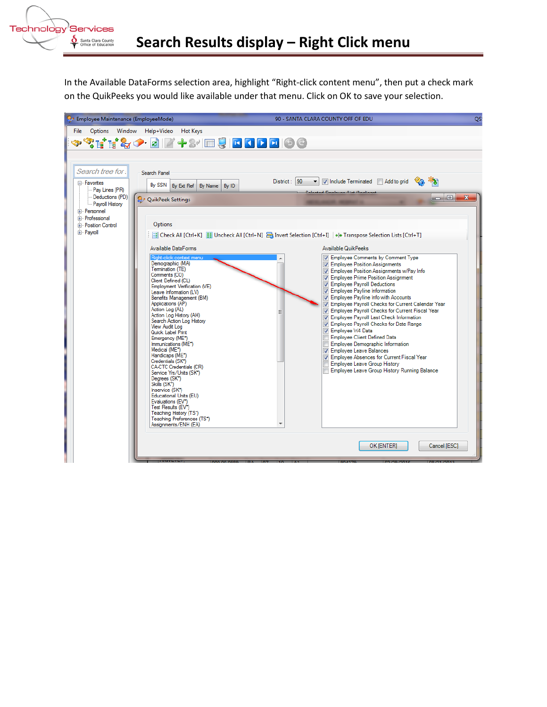

In the Available DataForms selection area, highlight "Right-click content menu", then put a check mark on the QuikPeeks you would like available under that menu. Click on OK to save your selection.